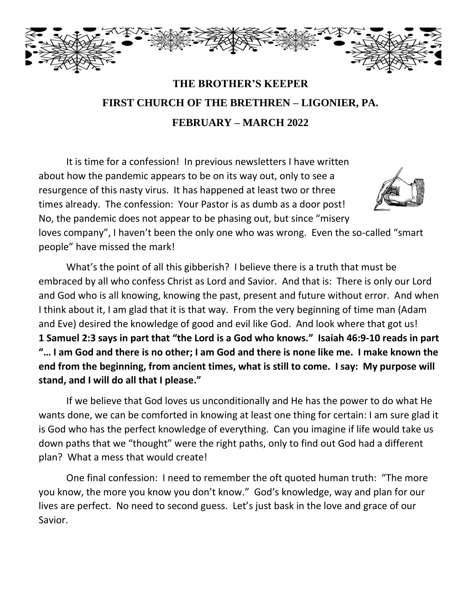

# **THE BROTHER'S KEEPER FIRST CHURCH OF THE BRETHREN – LIGONIER, PA. FEBRUARY – MARCH 2022**

It is time for a confession! In previous newsletters I have written about how the pandemic appears to be on its way out, only to see a resurgence of this nasty virus. It has happened at least two or three times already. The confession: Your Pastor is as dumb as a door post! No, the pandemic does not appear to be phasing out, but since "misery



loves company", I haven't been the only one who was wrong. Even the so-called "smart people" have missed the mark!

What's the point of all this gibberish? I believe there is a truth that must be embraced by all who confess Christ as Lord and Savior. And that is: There is only our Lord and God who is all knowing, knowing the past, present and future without error. And when I think about it, I am glad that it is that way. From the very beginning of time man (Adam and Eve) desired the knowledge of good and evil like God. And look where that got us! **1 Samuel 2:3 says in part that "the Lord is a God who knows." Isaiah 46:9-10 reads in part "… I am God and there is no other; I am God and there is none like me. I make known the end from the beginning, from ancient times, what is still to come. I say: My purpose will stand, and I will do all that I please."**

If we believe that God loves us unconditionally and He has the power to do what He wants done, we can be comforted in knowing at least one thing for certain: I am sure glad it is God who has the perfect knowledge of everything. Can you imagine if life would take us down paths that we "thought" were the right paths, only to find out God had a different plan? What a mess that would create!

One final confession: I need to remember the oft quoted human truth: "The more you know, the more you know you don't know." God's knowledge, way and plan for our lives are perfect. No need to second guess. Let's just bask in the love and grace of our Savior.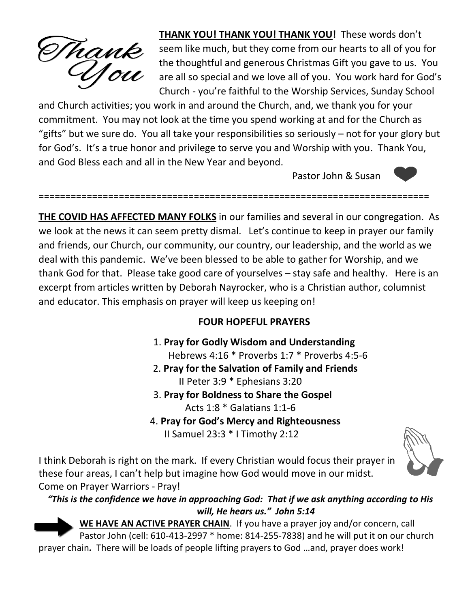

**THANK YOU! THANK YOU! THANK YOU!** These words don't seem like much, but they come from our hearts to all of you for the thoughtful and generous Christmas Gift you gave to us. You are all so special and we love all of you. You work hard for God's Church - you're faithful to the Worship Services, Sunday School

and Church activities; you work in and around the Church, and, we thank you for your commitment. You may not look at the time you spend working at and for the Church as "gifts" but we sure do. You all take your responsibilities so seriously – not for your glory but for God's. It's a true honor and privilege to serve you and Worship with you. Thank You, and God Bless each and all in the New Year and beyond.

Pastor John & Susan



==================================================================[=====](https://en.wikipedia.org/wiki/Heart_symbol)==

**THE COVID HAS AFFECTED MANY FOLKS** in our families and several in our congre[ga](https://en.wikipedia.org/wiki/Heart_symbol)tion. As we look at the news it can seem pretty dismal. Let's continue to keep in prayer our family and friends, our Church, our community, our country, our leadership, and the world as we deal with this pandemic. We've been blessed to be able to gather for Worship, and we thank God for that. Please take good care of yourselves – stay safe and healthy. Here is an excerpt from articles written by Deborah Nayrocker, who is a Christian author, columnist and educator. This emphasis on prayer will keep us keeping on!

#### **FOUR HOPEFUL PRAYERS**

- 1. **Pray for Godly Wisdom and Understanding** Hebrews 4:16 \* Proverbs 1:7 \* Proverbs 4:5-6
- 2. **Pray for the Salvation of Family and Friends** II Peter 3:9 \* Ephesians 3:20
- 3. **Pray for Boldness to Share the Gospel** Acts 1:8 \* Galatians 1:1-6
- 4. **Pray for God's Mercy and Righteousness** II Samuel 23:3 \* I Timothy 2:12



I think Deborah is right on the mark. If every Christian would focus their prayer in these four areas, I can't help but imagine how God would move in our midst. Come on Prayer Warriors - Pray!

#### *"This is the confidence we have in approaching God: That if we ask anything according [to Hi](https://pngimg.com/download/86406)s will, He hears us." John 5:14*

**WE HAVE AN ACTIVE PRAYER CHAIN**.If you have a prayer joy and/or concern, call Pastor John (cell: 610-413-2997 \* home: 814-255-7838) and he will put it on our [church](https://creativecommons.org/licenses/by-nc/3.0/) prayer chain*.* There will be loads of people lifting prayers to God …and, prayer does work!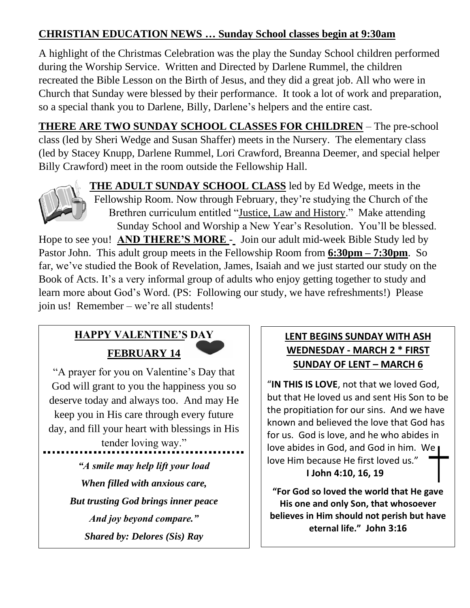## **CHRISTIAN EDUCATION NEWS … Sunday School classes begin at 9:30am**

A highlight of the Christmas Celebration was the play the Sunday School children performed during the Worship Service. Written and Directed by Darlene Rummel, the children recreated the Bible Lesson on the Birth of Jesus, and they did a great job. All who were in Church that Sunday were blessed by their performance. It took a lot of work and preparation, so a special thank you to Darlene, Billy, Darlene's helpers and the entire cast.

**THERE ARE TWO SUNDAY SCHOOL CLASSES FOR CHILDREN** – The pre-school class (led by Sheri Wedge and Susan Shaffer) meets in the Nursery. The elementary class (led by Stacey Knupp, Darlene Rummel, Lori Crawford, Breanna Deemer, and special helper Billy Crawford) meet in the room outside the Fellowship Hall.



**THE ADULT SUNDAY SCHOOL CLASS** led by Ed Wedge, meets in the Fellowship Room. Now through February, they're studying the Church of the Brethren curriculum entitled "Justice, Law and History." Make attending Sunday School and Worship a New Year's Resolution. You'll be blessed.

j

Hope to see you! **AND THERE'S MORE** - Join our adult mid-week Bible Study led by Pa[stor Joh](https://creativecommons.org/licenses/by-nc/3.0/)n. This adult group meets in the Fellowship Room from **6:30pm – 7:30pm**. So far, we've studied the Book of Revelation, James, Isaiah and we just started our study on the Book of Acts. It's a very informal group of adults who enjoy getting together to study and learn more about God's Word. (PS: Following our study, we have refreshments!) Please join us! Remember – we're all students!

# **HAPPY VALENTINE'S DAY FEBRUARY 14**

"A prayer for you on Valentine's Day that God will grant to you the happiness you so deserve today and always too. And may He keep you in His care through every future day, and fill your heart with blessings in His

tender loving way." *"A smile may help lift your load When filled with anxious care, But trusting God brings inner peace And joy beyond compare." Shared by: Delores (Sis) Ray*

## **LENT BEGINS SUNDAY WITH ASH WEDNESDAY - MARCH 2 \* FIRST SUNDAY OF LENT – MARCH 6**

"**IN THIS IS LOVE**, not that we loved God, but that He loved us and sent His Son to be the propitiation for our sins. And we have known and believed the love that God has for us. God is love, and he who abides in love abides in God, and God in him. We love Him because He first loved us." **I John 4:10, 16, 19**

**"For God so loved the world that He gave His one and only Son, that whosoever believes in Him should not perish but have eternal life." John 3:16**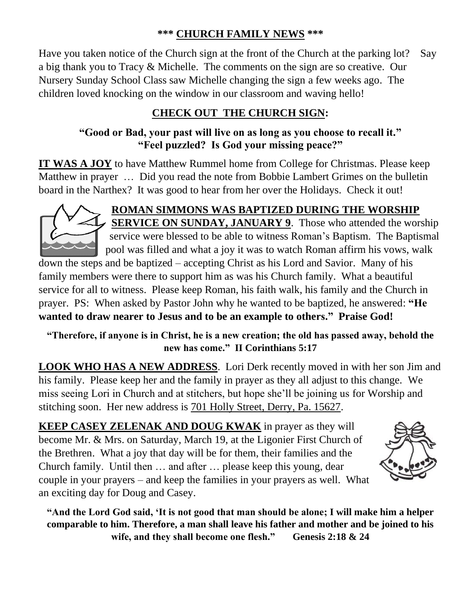### **\*\*\* CHURCH FAMILY NEWS \*\*\***

Have you taken notice of the Church sign at the front of the Church at the parking lot? Say a big thank you to Tracy & Michelle. The comments on the sign are so creative. Our Nursery Sunday School Class saw Michelle changing the sign a few weeks ago. The children loved knocking on the window in our classroom and waving hello!

## **CHECK OUT THE CHURCH SIGN:**

## **"Good or Bad, your past will live on as long as you choose to recall it." "Feel puzzled? Is God your missing peace?"**

**IT WAS A JOY** to have Matthew Rummel home from College for Christmas. Please keep Matthew in prayer … Did you read the note from Bobbie Lambert Grimes on the bulletin board in the Narthex? It was good to hear from her over the Holidays. Check it out!



**ROMAN SIMMONS WAS BAPTIZED DURING THE WORSHIP SERVICE ON SUNDAY, JANUARY 9.** Those who attended the worship service were blessed to be able to witness Roman's Baptism. The Baptismal pool was filled and what a joy it was to watch Roman affirm his vows, walk down the steps and be baptized – accepting Christ as his Lord and Savior. Many of his

family members were there to support him as was his Church family. What a beautiful service for all to witness. Please keep Roman, his faith walk, his family and the Church in prayer. PS: When asked by Pastor John why he wanted to be baptized, he answered: **"He wanted to draw nearer to Jesus and to be an example to others." Praise God!**

**"Therefore, if anyone is in Christ, he is a new creation; the old has passed away, behold the new has come." II Corinthians 5:17**

**LOOK WHO HAS A NEW ADDRESS**. Lori Derk recently moved in with her son Jim and his family. Please keep her and the family in prayer as they all adjust to this change. We miss seeing Lori in Church and at stitchers, but hope she'll be joining us for Worship and stitching soon. Her new address is 701 Holly Street, Derry, Pa. 15627.

**KEEP CASEY ZELENAK AND DOUG KWAK** in prayer as they will become Mr. & Mrs. on Saturday, March 19, at the Ligonier First Church of the Brethren. What a joy that day will be for them, their families and the Church family. Until then … and after … please keep this young, dear couple in your prayers – and keep the families in your prayers as well. What an exciting day for Doug and Casey.



**"And the Lord God said, 'It is not good that man should be alone; I will make him a helper comparable to him. Therefore, a man shall leave his father and mother and be joined to his wife, and they shall become one flesh." Genesis 2:18 & 24**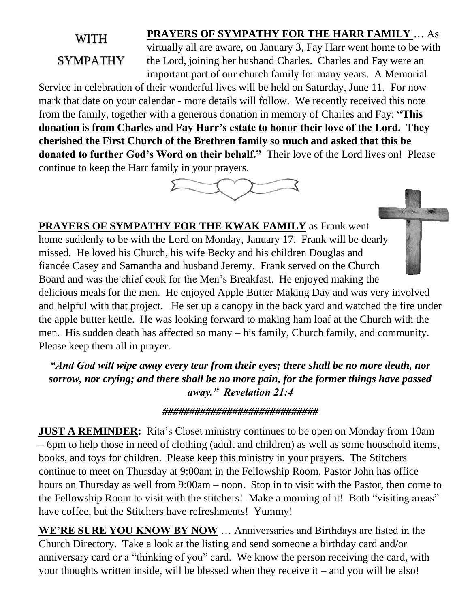# WITH SYMPATHY

**PRAYERS OF SYMPATHY FOR THE HARR FAMILY** … As virtually all are aware, on January 3, Fay Harr went home to be with the Lord, joining her husband Charles. Charles and Fay were an important part of our church family for many years. A Memorial

Service in celebration of their wonderful lives will be held on Saturday, June 11. For now mark that date on your calendar - more details will follow. We recently received this note from the family, together with a generous donation in memory of Charles and Fay: **"This donation is from Charles and Fay Harr's estate to honor their love of the Lord. They cherished the First Church of the Brethren family so much and asked that this be donated to further God's Word on their behalf."** Their love of the Lord lives on! Please continue to keep the Harr family in your prayers.



**PRAYERS OF SYMPATHY FOR THE KWAK FAMILY** as Frank went home suddenly to be with the Lord on Monday, January 17. Frank will be dearly missed. He loved his Church, his wife Becky and his children Douglas and fiancée Casey and Samantha and husband Jeremy. Frank served on the Church Board and was the chief cook for the Men's Breakfast. He enjoyed making the delicious meals for the men. He enjoyed Apple Butter Making Day and was very involved and helpful with that project. He set up a canopy in the back yard and watched the fire under the apple butter kettle. He was looking forward to making ham loaf at the Church with the men. His sudden death has affected so many – his family, Church family, and community. Please keep them all in prayer.

*"And God will wipe away every tear from their eyes; there shall be no more death, nor sorrow, nor crying; and there shall be no more pain, for the former things have passed away." Revelation 21:4*

#### *#############################*

**JUST A REMINDER:** Rita's Closet ministry continues to be open on Monday from 10am – 6pm to help those in need of clothing (adult and children) as well as some household items, books, and toys for children. Please keep this ministry in your prayers. The Stitchers continue to meet on Thursday at 9:00am in the Fellowship Room. Pastor John has office hours on Thursday as well from 9:00am – noon. Stop in to visit with the Pastor, then come to the Fellowship Room to visit with the stitchers! Make a morning of it! Both "visiting areas" have coffee, but the Stitchers have refreshments! Yummy!

**WE'RE SURE YOU KNOW BY NOW** … Anniversaries and Birthdays are listed in the Church Directory. Take a look at the listing and send someone a birthday card and/or anniversary card or a "thinking of you" card. We know the person receiving the card, with your thoughts written inside, will be blessed when they receive it – and you will be also!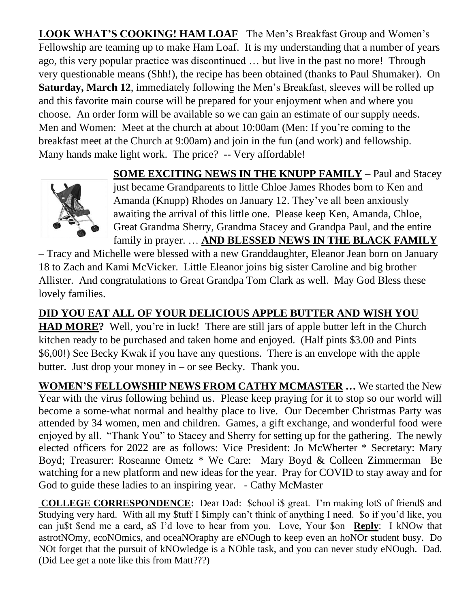**LOOK WHAT'S COOKING! HAM LOAF** The Men's Breakfast Group and Women's Fellowship are teaming up to make Ham Loaf. It is my understanding that a number of years ago, this very popular practice was discontinued … but live in the past no more! Through very questionable means (Shh!), the recipe has been obtained (thanks to Paul Shumaker). On **Saturday, March 12**, immediately following the Men's Breakfast, sleeves will be rolled up and this favorite main course will be prepared for your enjoyment when and where you choose. An order form will be available so we can gain an estimate of our supply needs. Men and Women: Meet at the church at about 10:00am (Men: If you're coming to the breakfast meet at the Church at 9:00am) and join in the fun (and work) and fellowship. Many hands make light work. The price? -- Very affordable!

**SOME EXCITING NEWS IN THE KNUPP FAMILY** – Paul and Stacey



just became Grandparents to little Chloe James Rhodes born to Ken and Amanda (Knupp) Rhodes on January 12. They've all been anxiously awaiting the arrival of this little one. Please keep Ken, Amanda, Chloe, Great Grandma Sherry, Grandma Stacey and Grandpa Paul, and the entire family in prayer. … **AND BLESSED NEWS IN THE BLACK FAMILY**

– Tracy and Michelle were blessed with a new Granddaughter, Eleanor Jean born on January 18 to Zach and Kami McVicker. Little Eleanor joins big sister Caroline and big brother Allister. And congratulations to Great Grandpa Tom Clark as well. May God Bless these lovely families.

**DID YOU EAT ALL OF YOUR DELICIOUS APPLE BUTTER AND WISH YOU HAD MORE?** Well, you're in luck! There are still jars of apple butter left in the Church kitchen ready to be purchased and taken home and enjoyed. (Half pints \$3.00 and Pints \$6,00!) See Becky Kwak if you have any questions. There is an envelope with the apple butter. Just drop your money in – or see Becky. Thank you.

**WOMEN'S FELLOWSHIP NEWS FROM CATHY MCMASTER …** We started the New Year with the virus following behind us. Please keep praying for it to stop so our world will become a some-what normal and healthy place to live. Our December Christmas Party was attended by 34 women, men and children. Games, a gift exchange, and wonderful food were enjoyed by all. "Thank You" to Stacey and Sherry for setting up for the gathering. The newly elected officers for 2022 are as follows: Vice President: Jo McWherter \* Secretary: Mary Boyd; Treasurer: Roseanne Ometz \* We Care: Mary Boyd & Colleen Zimmerman Be watching for a new platform and new ideas for the year. Pray for COVID to stay away and for God to guide these ladies to an inspiring year. - Cathy McMaster

**COLLEGE CORRESPONDENCE:** Dear Dad: \$chool i\$ great. I'm making lot\$ of friend\$ and \$tudying very hard. With all my \$tuff I \$imply can't think of anything I need. \$o if you'd like, you can ju\$t \$end me a card, a\$ I'd love to hear from you. Love, Your \$on **Reply**: I kNOw that astrotNOmy, ecoNOmics, and oceaNOraphy are eNOugh to keep even an hoNOr student busy. Do NOt forget that the pursuit of kNOwledge is a NOble task, and you can never study eNOugh. Dad. (Did Lee get a note like this from Matt???)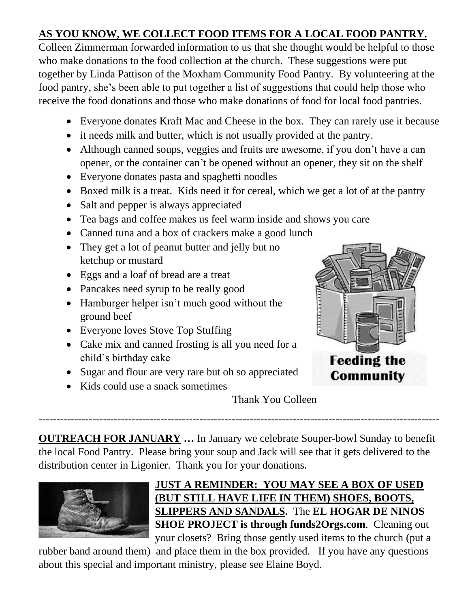## **AS YOU KNOW, WE COLLECT FOOD ITEMS FOR A LOCAL FOOD PANTRY.**

Colleen Zimmerman forwarded information to us that she thought would be helpful to those who make donations to the food collection at the church. These suggestions were put together by Linda Pattison of the Moxham Community Food Pantry. By volunteering at the food pantry, she's been able to put together a list of suggestions that could help those who receive the food donations and those who make donations of food for local food pantries.

- Everyone donates Kraft Mac and Cheese in the box. They can rarely use it because
- it needs milk and butter, which is not usually provided at the pantry.
- Although canned soups, veggies and fruits are awesome, if you don't have a can opener, or the container can't be opened without an opener, they sit on the shelf
- Everyone donates pasta and spaghetti noodles
- Boxed milk is a treat. Kids need it for cereal, which we get a lot of at the pantry
- Salt and pepper is always appreciated
- Tea bags and coffee makes us feel warm inside and shows you care
- Canned tuna and a box of crackers make a good lunch
- They get a lot of peanut butter and jelly but no ketchup or mustard
- Eggs and a loaf of bread are a treat
- Pancakes need syrup to be really good
- Hamburger helper isn't much good without the ground beef
- Everyone loves Stove Top Stuffing
- Cake mix and canned frosting is all you need for a child's birthday cake
- Sugar and flour are very rare but oh so appreciated
- Kids could use a snack sometimes



Thank You Colleen

**OUTREACH FOR JANUARY …** In January we celebrate Souper-bowl Sunday to benefit the local Food Pantry. Please bring your soup and Jack will see that it gets delivered to the distribution center in Ligonier. Thank you for your donations.

----------------------------------------------------------------------------------------------------------------



## **JUST A REMINDER: YOU MAY SEE A BOX OF USED (BUT STILL HAVE LIFE IN THEM) SHOES, BOOTS, SLIPPERS AND SANDALS.** The **EL HOGAR DE NINOS SHOE PROJECT is through funds2Orgs.com**. Cleaning out your closets? Bring those gently used items to the church (put a

rubber band around them) and place them in the box provided. If you have any questions about this special and important ministry, please see Elaine Boyd.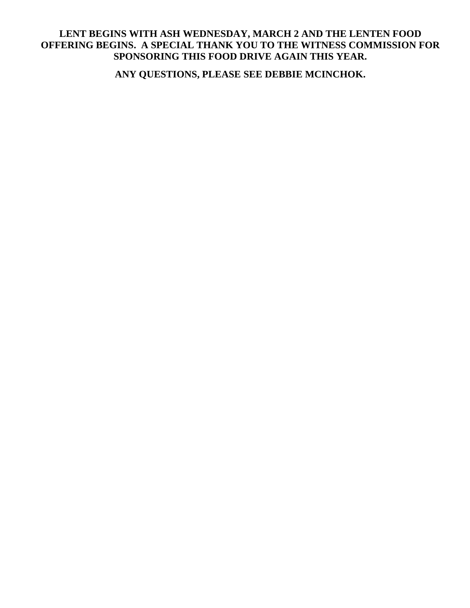#### **LENT BEGINS WITH ASH WEDNESDAY, MARCH 2 AND THE LENTEN FOOD OFFERING BEGINS. A SPECIAL THANK YOU TO THE WITNESS COMMISSION FOR SPONSORING THIS FOOD DRIVE AGAIN THIS YEAR.**

**ANY QUESTIONS, PLEASE SEE DEBBIE MCINCHOK.**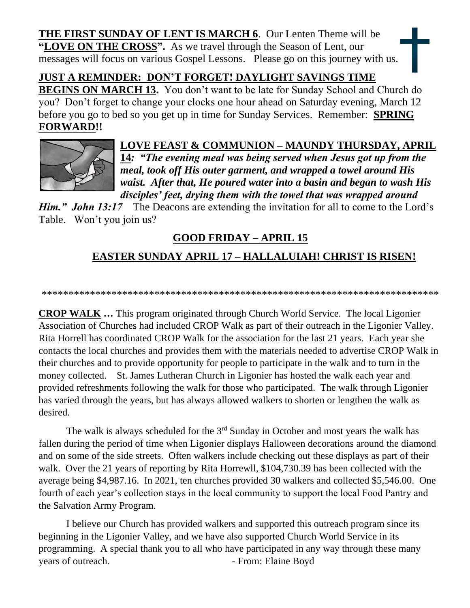**THE FIRST SUNDAY OF LENT IS MARCH 6**. Our Lenten Theme will be **"LOVE ON THE CROSS".** As we travel through the Season of Lent, our messages will focus on various Gospel Lessons. Please go on this journey with us.

## **JUST A REMINDER: DON'T FORGET! DAYLIGHT SAVINGS TIME**

**BEGINS ON MARCH 13.** You don't want to be late for Sunday School and Church do you? Don't forget to change your clocks one hour ahead on Saturday evening, March 12 before you go to bed so you get up in time for Sunday Services. Remember: **SPRIN[G](https://creativecommons.org/licenses/by-nc/3.0/)  FORWARD!!** 



#### **LOVE FEAST & COMMUNION – MAUNDY THURSDAY, APRIL 14***: "The evening meal was being served when Jesus got up from the meal, took off His outer garment, and wrapped a towel around His waist. After that, He poured water into a basin and began to wash His disciples' feet, drying them with the towel that was wrapped around*

*Him." John 13:17* The Deacons are extending the invitation for all to come to the Lord's [Table.](https://creativecommons.org/licenses/by-nc-sa/3.0/) W[on't yo](https://creativecommons.org/licenses/by-nc-sa/3.0/)u join us?

## **GOOD FRIDAY – APRIL 15**

# **EASTER SUNDAY APRIL 17 – HALLALUIAH! CHRIST IS RISEN!**

#### \*\*\*\*\*\*\*\*\*\*\*\*\*\*\*\*\*\*\*\*\*\*\*\*\*\*\*\*\*\*\*\*\*\*\*\*\*\*\*\*\*\*\*\*\*\*\*\*\*\*\*\*\*\*\*\*\*\*\*\*\*\*\*\*\*\*\*\*\*\*\*\*\*\*

**CROP WALK …** This program originated through Church World Service. The local Ligonier Association of Churches had included CROP Walk as part of their outreach in the Ligonier Valley. Rita Horrell has coordinated CROP Walk for the association for the last 21 years. Each year she contacts the local churches and provides them with the materials needed to advertise CROP Walk in their churches and to provide opportunity for people to participate in the walk and to turn in the money collected. St. James Lutheran Church in Ligonier has hosted the walk each year and provided refreshments following the walk for those who participated. The walk through Ligonier has varied through the years, but has always allowed walkers to shorten or lengthen the walk as desired.

The walk is always scheduled for the  $3<sup>rd</sup>$  Sunday in October and most years the walk has fallen during the period of time when Ligonier displays Halloween decorations around the diamond and on some of the side streets. Often walkers include checking out these displays as part of their walk. Over the 21 years of reporting by Rita Horrewll, \$104,730.39 has been collected with the average being \$4,987.16. In 2021, ten churches provided 30 walkers and collected \$5,546.00. One fourth of each year's collection stays in the local community to support the local Food Pantry and the Salvation Army Program.

I believe our Church has provided walkers and supported this outreach program since its beginning in the Ligonier Valley, and we have also supported Church World Service in its programming. A special thank you to all who have participated in any way through these many years of outreach. The set of the From: Elaine Boyd